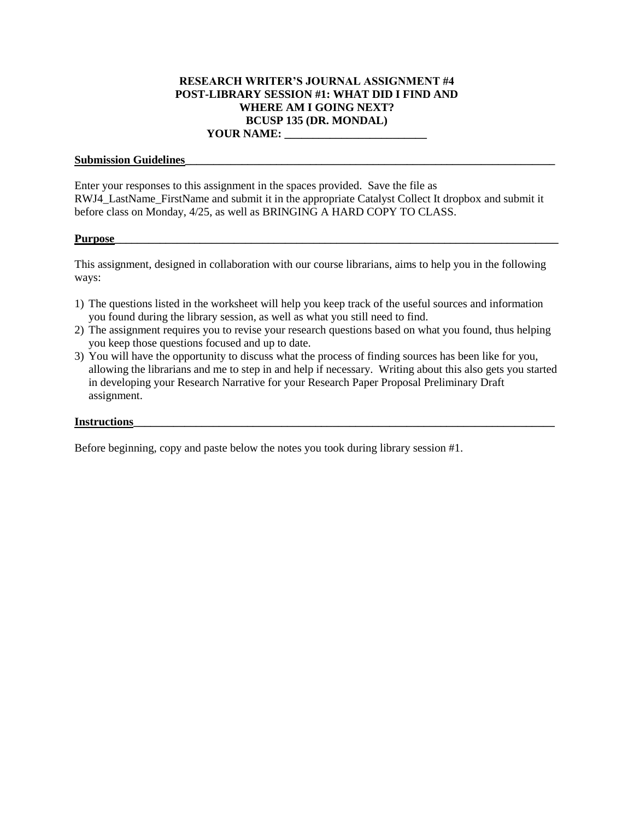# **RESEARCH WRITER'S JOURNAL ASSIGNMENT #4 POST-LIBRARY SESSION #1: WHAT DID I FIND AND WHERE AM I GOING NEXT? BCUSP 135 (DR. MONDAL)**

# **YOUR NAME: \_\_\_\_\_\_\_\_\_\_\_\_\_\_\_\_\_\_\_\_\_\_\_\_\_**

### **Submission Guidelines\_\_\_\_\_\_\_\_\_\_\_\_\_\_\_\_\_\_\_\_\_\_\_\_\_\_\_\_\_\_\_\_\_\_\_\_\_\_\_\_\_\_\_\_\_\_\_\_\_\_\_\_\_\_\_\_\_\_\_\_\_\_\_\_\_**

Enter your responses to this assignment in the spaces provided. Save the file as RWJ4\_LastName\_FirstName and submit it in the appropriate Catalyst Collect It dropbox and submit it before class on Monday, 4/25, as well as BRINGING A HARD COPY TO CLASS.

### **Purpose\_\_\_\_\_\_\_\_\_\_\_\_\_\_\_\_\_\_\_\_\_\_\_\_\_\_\_\_\_\_\_\_\_\_\_\_\_\_\_\_\_\_\_\_\_\_\_\_\_\_\_\_\_\_\_\_\_\_\_\_\_\_\_\_\_\_\_\_\_\_\_\_\_\_\_\_\_\_**

This assignment, designed in collaboration with our course librarians, aims to help you in the following ways:

- 1) The questions listed in the worksheet will help you keep track of the useful sources and information you found during the library session, as well as what you still need to find.
- 2) The assignment requires you to revise your research questions based on what you found, thus helping you keep those questions focused and up to date.
- 3) You will have the opportunity to discuss what the process of finding sources has been like for you, allowing the librarians and me to step in and help if necessary. Writing about this also gets you started in developing your Research Narrative for your Research Paper Proposal Preliminary Draft assignment.

### **Instructions**

Before beginning, copy and paste below the notes you took during library session #1.